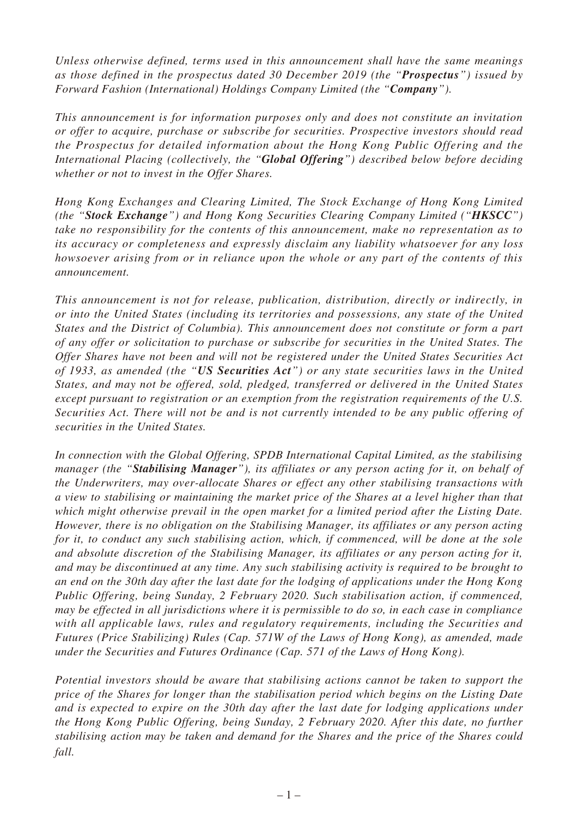*Unless otherwise defined, terms used in this announcement shall have the same meanings as those defined in the prospectus dated 30 December 2019 (the "Prospectus") issued by Forward Fashion (International) Holdings Company Limited (the "Company").*

*This announcement is for information purposes only and does not constitute an invitation or offer to acquire, purchase or subscribe for securities. Prospective investors should read the Prospectus for detailed information about the Hong Kong Public Offering and the International Placing (collectively, the "Global Offering") described below before deciding whether or not to invest in the Offer Shares.*

*Hong Kong Exchanges and Clearing Limited, The Stock Exchange of Hong Kong Limited (the "Stock Exchange") and Hong Kong Securities Clearing Company Limited ("HKSCC") take no responsibility for the contents of this announcement, make no representation as to its accuracy or completeness and expressly disclaim any liability whatsoever for any loss howsoever arising from or in reliance upon the whole or any part of the contents of this announcement.*

*This announcement is not for release, publication, distribution, directly or indirectly, in or into the United States (including its territories and possessions, any state of the United States and the District of Columbia). This announcement does not constitute or form a part of any offer or solicitation to purchase or subscribe for securities in the United States. The Offer Shares have not been and will not be registered under the United States Securities Act of 1933, as amended (the "US Securities Act") or any state securities laws in the United States, and may not be offered, sold, pledged, transferred or delivered in the United States except pursuant to registration or an exemption from the registration requirements of the U.S. Securities Act. There will not be and is not currently intended to be any public offering of securities in the United States.*

*In connection with the Global Offering, SPDB International Capital Limited, as the stabilising manager (the "Stabilising Manager"), its affiliates or any person acting for it, on behalf of the Underwriters, may over-allocate Shares or effect any other stabilising transactions with a view to stabilising or maintaining the market price of the Shares at a level higher than that which might otherwise prevail in the open market for a limited period after the Listing Date. However, there is no obligation on the Stabilising Manager, its affiliates or any person acting*  for it, to conduct any such stabilising action, which, if commenced, will be done at the sole *and absolute discretion of the Stabilising Manager, its affiliates or any person acting for it, and may be discontinued at any time. Any such stabilising activity is required to be brought to an end on the 30th day after the last date for the lodging of applications under the Hong Kong Public Offering, being Sunday, 2 February 2020. Such stabilisation action, if commenced, may be effected in all jurisdictions where it is permissible to do so, in each case in compliance with all applicable laws, rules and regulatory requirements, including the Securities and Futures (Price Stabilizing) Rules (Cap. 571W of the Laws of Hong Kong), as amended, made under the Securities and Futures Ordinance (Cap. 571 of the Laws of Hong Kong).*

*Potential investors should be aware that stabilising actions cannot be taken to support the price of the Shares for longer than the stabilisation period which begins on the Listing Date and is expected to expire on the 30th day after the last date for lodging applications under the Hong Kong Public Offering, being Sunday, 2 February 2020. After this date, no further stabilising action may be taken and demand for the Shares and the price of the Shares could fall.*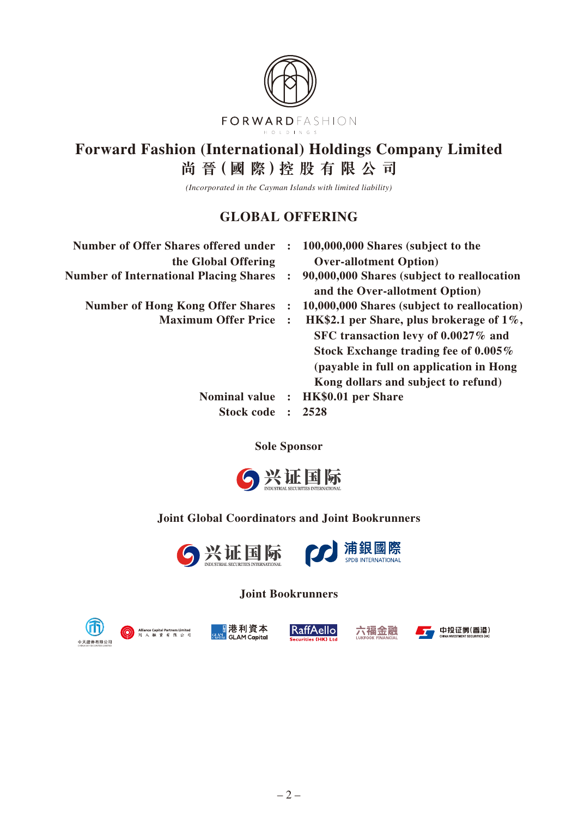

## **Forward Fashion (International) Holdings Company Limited 尚 晉(國 際)控 股 有 限 公 司**

*(Incorporated in the Cayman Islands with limited liability)*

## **GLOBAL OFFERING**

| $\ddot{\cdot}$       | 100,000,000 Shares (subject to the<br><b>Over-allotment Option</b> )         |
|----------------------|------------------------------------------------------------------------------|
| $\ddot{\phantom{a}}$ | 90,000,000 Shares (subject to reallocation<br>and the Over-allotment Option) |
| $\ddot{\cdot}$       | 10,000,000 Shares (subject to reallocation)                                  |
|                      | HK\$2.1 per Share, plus brokerage of $1\%$ ,                                 |
|                      | SFC transaction levy of 0.0027% and                                          |
|                      | Stock Exchange trading fee of $0.005\%$                                      |
|                      | (payable in full on application in Hong)                                     |
|                      | Kong dollars and subject to refund)                                          |
| $\ddot{\cdot}$       | HK\$0.01 per Share                                                           |
|                      | 2528                                                                         |
|                      | $\mathcal{L}$                                                                |

**Sole Sponsor**



## **Joint Global Coordinators and Joint Bookrunners**



**Joint Bookrunners**



Alliance Capital Partners Lim<br>同人融資有限公



RaffAello



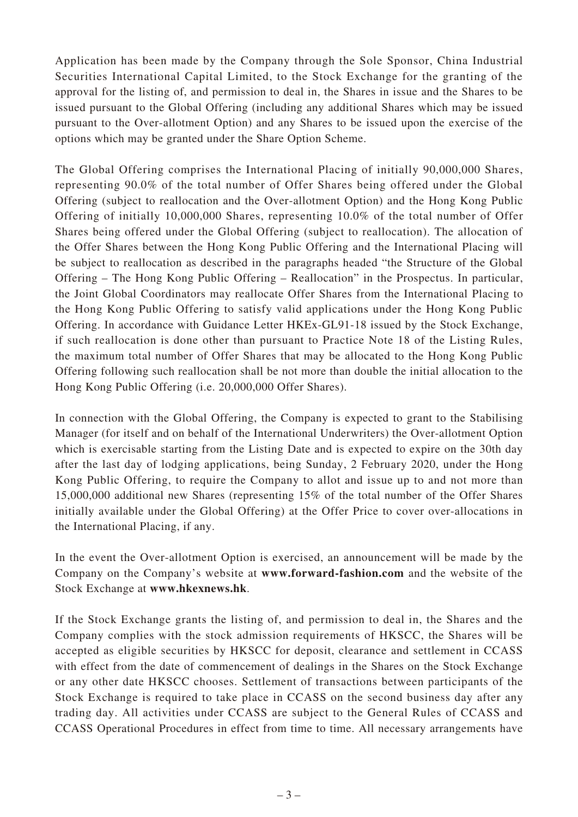Application has been made by the Company through the Sole Sponsor, China Industrial Securities International Capital Limited, to the Stock Exchange for the granting of the approval for the listing of, and permission to deal in, the Shares in issue and the Shares to be issued pursuant to the Global Offering (including any additional Shares which may be issued pursuant to the Over-allotment Option) and any Shares to be issued upon the exercise of the options which may be granted under the Share Option Scheme.

The Global Offering comprises the International Placing of initially 90,000,000 Shares, representing 90.0% of the total number of Offer Shares being offered under the Global Offering (subject to reallocation and the Over-allotment Option) and the Hong Kong Public Offering of initially 10,000,000 Shares, representing 10.0% of the total number of Offer Shares being offered under the Global Offering (subject to reallocation). The allocation of the Offer Shares between the Hong Kong Public Offering and the International Placing will be subject to reallocation as described in the paragraphs headed "the Structure of the Global Offering – The Hong Kong Public Offering – Reallocation" in the Prospectus. In particular, the Joint Global Coordinators may reallocate Offer Shares from the International Placing to the Hong Kong Public Offering to satisfy valid applications under the Hong Kong Public Offering. In accordance with Guidance Letter HKEx-GL91-18 issued by the Stock Exchange, if such reallocation is done other than pursuant to Practice Note 18 of the Listing Rules, the maximum total number of Offer Shares that may be allocated to the Hong Kong Public Offering following such reallocation shall be not more than double the initial allocation to the Hong Kong Public Offering (i.e. 20,000,000 Offer Shares).

In connection with the Global Offering, the Company is expected to grant to the Stabilising Manager (for itself and on behalf of the International Underwriters) the Over-allotment Option which is exercisable starting from the Listing Date and is expected to expire on the 30th day after the last day of lodging applications, being Sunday, 2 February 2020, under the Hong Kong Public Offering, to require the Company to allot and issue up to and not more than 15,000,000 additional new Shares (representing 15% of the total number of the Offer Shares initially available under the Global Offering) at the Offer Price to cover over-allocations in the International Placing, if any.

In the event the Over-allotment Option is exercised, an announcement will be made by the Company on the Company's website at **www.forward-fashion.com** and the website of the Stock Exchange at **www.hkexnews.hk**.

If the Stock Exchange grants the listing of, and permission to deal in, the Shares and the Company complies with the stock admission requirements of HKSCC, the Shares will be accepted as eligible securities by HKSCC for deposit, clearance and settlement in CCASS with effect from the date of commencement of dealings in the Shares on the Stock Exchange or any other date HKSCC chooses. Settlement of transactions between participants of the Stock Exchange is required to take place in CCASS on the second business day after any trading day. All activities under CCASS are subject to the General Rules of CCASS and CCASS Operational Procedures in effect from time to time. All necessary arrangements have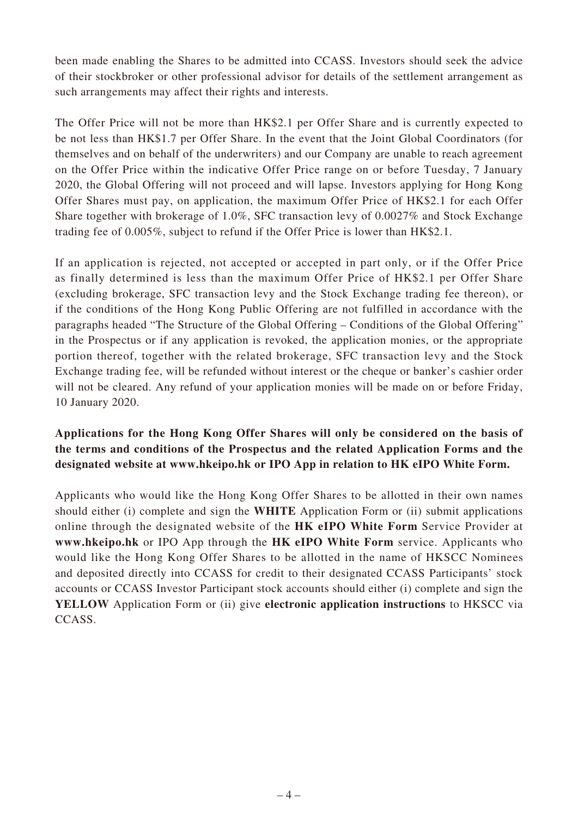been made enabling the Shares to be admitted into CCASS. Investors should seek the advice of their stockbroker or other professional advisor for details of the settlement arrangement as such arrangements may affect their rights and interests.

The Offer Price will not be more than HK\$2.1 per Offer Share and is currently expected to be not less than HK\$1.7 per Offer Share. In the event that the Joint Global Coordinators (for themselves and on behalf of the underwriters) and our Company are unable to reach agreement on the Offer Price within the indicative Offer Price range on or before Tuesday, 7 January 2020, the Global Offering will not proceed and will lapse. Investors applying for Hong Kong Offer Shares must pay, on application, the maximum Offer Price of HK\$2.1 for each Offer Share together with brokerage of 1.0%, SFC transaction levy of 0.0027% and Stock Exchange trading fee of 0.005%, subject to refund if the Offer Price is lower than HK\$2.1.

If an application is rejected, not accepted or accepted in part only, or if the Offer Price as finally determined is less than the maximum Offer Price of HK\$2.1 per Offer Share (excluding brokerage, SFC transaction levy and the Stock Exchange trading fee thereon), or if the conditions of the Hong Kong Public Offering are not fulfilled in accordance with the paragraphs headed "The Structure of the Global Offering – Conditions of the Global Offering" in the Prospectus or if any application is revoked, the application monies, or the appropriate portion thereof, together with the related brokerage, SFC transaction levy and the Stock Exchange trading fee, will be refunded without interest or the cheque or banker's cashier order will not be cleared. Any refund of your application monies will be made on or before Friday, 10 January 2020.

## **Applications for the Hong Kong Offer Shares will only be considered on the basis of the terms and conditions of the Prospectus and the related Application Forms and the designated website at www.hkeipo.hk or IPO App in relation to HK eIPO White Form.**

Applicants who would like the Hong Kong Offer Shares to be allotted in their own names should either (i) complete and sign the **WHITE** Application Form or (ii) submit applications online through the designated website of the **HK eIPO White Form** Service Provider at **www.hkeipo.hk** or IPO App through the **HK eIPO White Form** service. Applicants who would like the Hong Kong Offer Shares to be allotted in the name of HKSCC Nominees and deposited directly into CCASS for credit to their designated CCASS Participants' stock accounts or CCASS Investor Participant stock accounts should either (i) complete and sign the **YELLOW** Application Form or (ii) give **electronic application instructions** to HKSCC via CCASS.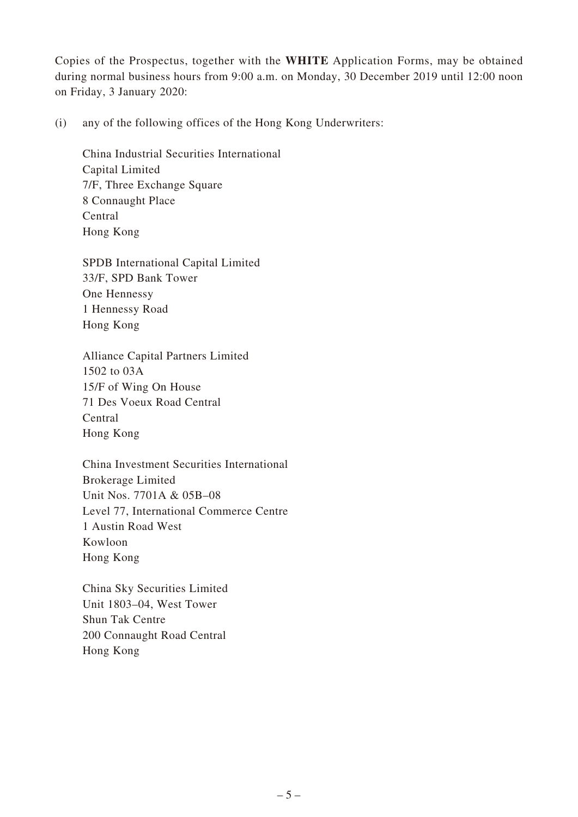Copies of the Prospectus, together with the **WHITE** Application Forms, may be obtained during normal business hours from 9:00 a.m. on Monday, 30 December 2019 until 12:00 noon on Friday, 3 January 2020:

(i) any of the following offices of the Hong Kong Underwriters:

China Industrial Securities International Capital Limited 7/F, Three Exchange Square 8 Connaught Place Central Hong Kong

SPDB International Capital Limited 33/F, SPD Bank Tower One Hennessy 1 Hennessy Road Hong Kong

Alliance Capital Partners Limited 1502 to 03A 15/F of Wing On House 71 Des Voeux Road Central Central Hong Kong

China Investment Securities International Brokerage Limited Unit Nos. 7701A & 05B–08 Level 77, International Commerce Centre 1 Austin Road West Kowloon Hong Kong

China Sky Securities Limited Unit 1803–04, West Tower Shun Tak Centre 200 Connaught Road Central Hong Kong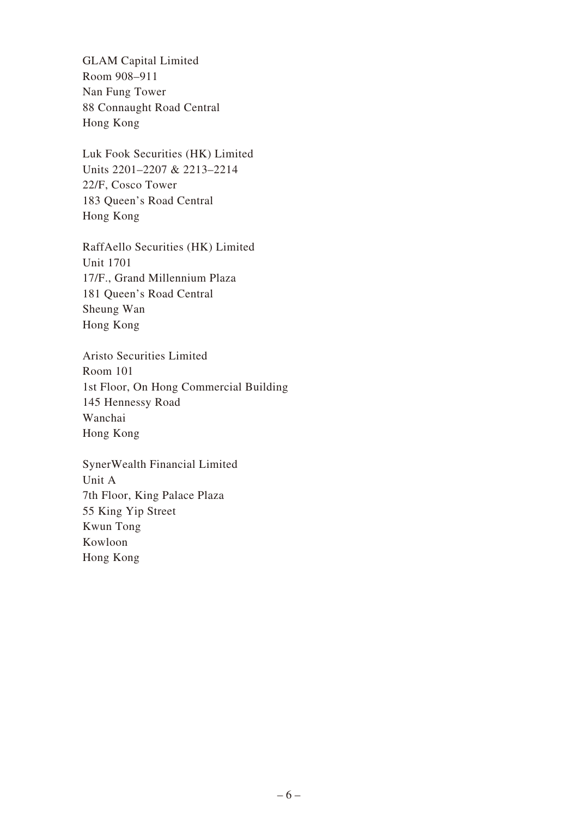GLAM Capital Limited Room 908–911 Nan Fung Tower 88 Connaught Road Central Hong Kong

Luk Fook Securities (HK) Limited Units 2201–2207 & 2213–2214 22/F, Cosco Tower 183 Queen's Road Central Hong Kong

RaffAello Securities (HK) Limited Unit 1701 17/F., Grand Millennium Plaza 181 Queen's Road Central Sheung Wan Hong Kong

Aristo Securities Limited Room 101 1st Floor, On Hong Commercial Building 145 Hennessy Road Wanchai Hong Kong

SynerWealth Financial Limited Unit A 7th Floor, King Palace Plaza 55 King Yip Street Kwun Tong Kowloon Hong Kong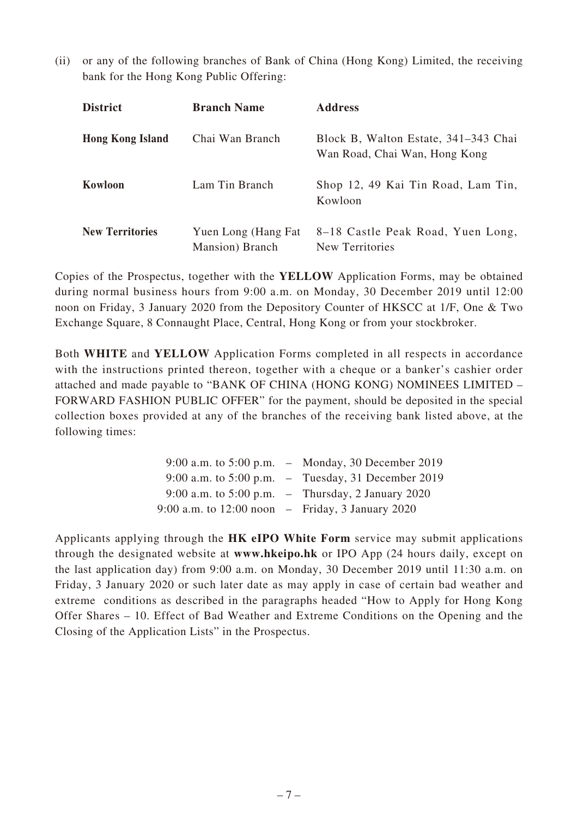(ii) or any of the following branches of Bank of China (Hong Kong) Limited, the receiving bank for the Hong Kong Public Offering:

| <b>District</b>         | <b>Branch Name</b>                     | <b>Address</b>                                                        |
|-------------------------|----------------------------------------|-----------------------------------------------------------------------|
| <b>Hong Kong Island</b> | Chai Wan Branch                        | Block B, Walton Estate, 341-343 Chai<br>Wan Road, Chai Wan, Hong Kong |
| Kowloon                 | Lam Tin Branch                         | Shop 12, 49 Kai Tin Road, Lam Tin,<br>Kowloon                         |
| <b>New Territories</b>  | Yuen Long (Hang Fat<br>Mansion) Branch | 8-18 Castle Peak Road, Yuen Long,<br>New Territories                  |

Copies of the Prospectus, together with the **YELLOW** Application Forms, may be obtained during normal business hours from 9:00 a.m. on Monday, 30 December 2019 until 12:00 noon on Friday, 3 January 2020 from the Depository Counter of HKSCC at 1/F, One & Two Exchange Square, 8 Connaught Place, Central, Hong Kong or from your stockbroker.

Both **WHITE** and **YELLOW** Application Forms completed in all respects in accordance with the instructions printed thereon, together with a cheque or a banker's cashier order attached and made payable to "BANK OF CHINA (HONG KONG) NOMINEES LIMITED – FORWARD FASHION PUBLIC OFFER" for the payment, should be deposited in the special collection boxes provided at any of the branches of the receiving bank listed above, at the following times:

|                                                    | 9:00 a.m. to 5:00 p.m. $-$ Monday, 30 December 2019  |
|----------------------------------------------------|------------------------------------------------------|
|                                                    | 9:00 a.m. to 5:00 p.m. $-$ Tuesday, 31 December 2019 |
|                                                    | 9:00 a.m. to 5:00 p.m. $-$ Thursday, 2 January 2020  |
| 9:00 a.m. to $12:00$ noon – Friday, 3 January 2020 |                                                      |

Applicants applying through the **HK eIPO White Form** service may submit applications through the designated website at **www.hkeipo.hk** or IPO App (24 hours daily, except on the last application day) from 9:00 a.m. on Monday, 30 December 2019 until 11:30 a.m. on Friday, 3 January 2020 or such later date as may apply in case of certain bad weather and extreme conditions as described in the paragraphs headed "How to Apply for Hong Kong Offer Shares – 10. Effect of Bad Weather and Extreme Conditions on the Opening and the Closing of the Application Lists" in the Prospectus.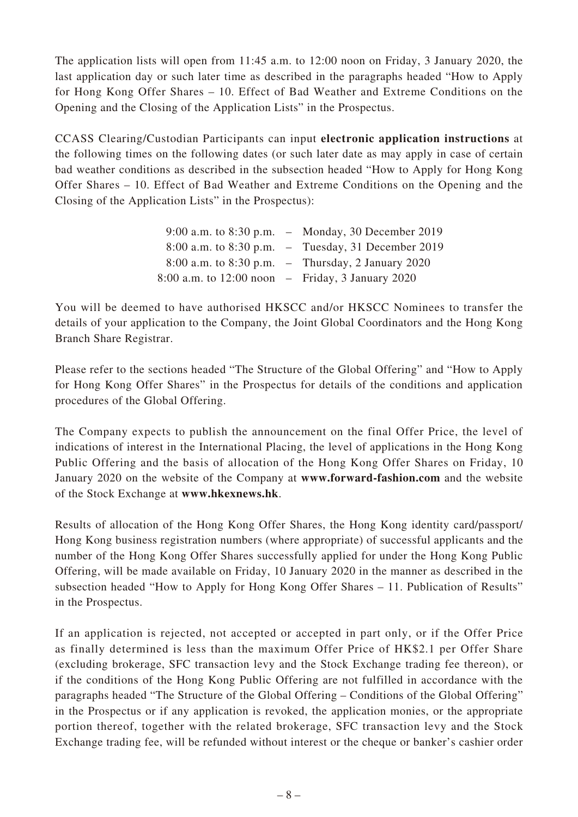The application lists will open from 11:45 a.m. to 12:00 noon on Friday, 3 January 2020, the last application day or such later time as described in the paragraphs headed "How to Apply for Hong Kong Offer Shares – 10. Effect of Bad Weather and Extreme Conditions on the Opening and the Closing of the Application Lists" in the Prospectus.

CCASS Clearing/Custodian Participants can input **electronic application instructions** at the following times on the following dates (or such later date as may apply in case of certain bad weather conditions as described in the subsection headed "How to Apply for Hong Kong Offer Shares – 10. Effect of Bad Weather and Extreme Conditions on the Opening and the Closing of the Application Lists" in the Prospectus):

|                                                    | 9:00 a.m. to $8:30$ p.m. – Monday, 30 December 2019 |
|----------------------------------------------------|-----------------------------------------------------|
|                                                    | 8:00 a.m. to 8:30 p.m. – Tuesday, 31 December 2019  |
|                                                    | 8:00 a.m. to 8:30 p.m. $-$ Thursday, 2 January 2020 |
| 8:00 a.m. to $12:00$ noon – Friday, 3 January 2020 |                                                     |

You will be deemed to have authorised HKSCC and/or HKSCC Nominees to transfer the details of your application to the Company, the Joint Global Coordinators and the Hong Kong Branch Share Registrar.

Please refer to the sections headed "The Structure of the Global Offering" and "How to Apply for Hong Kong Offer Shares" in the Prospectus for details of the conditions and application procedures of the Global Offering.

The Company expects to publish the announcement on the final Offer Price, the level of indications of interest in the International Placing, the level of applications in the Hong Kong Public Offering and the basis of allocation of the Hong Kong Offer Shares on Friday, 10 January 2020 on the website of the Company at **www.forward-fashion.com** and the website of the Stock Exchange at **www.hkexnews.hk**.

Results of allocation of the Hong Kong Offer Shares, the Hong Kong identity card/passport/ Hong Kong business registration numbers (where appropriate) of successful applicants and the number of the Hong Kong Offer Shares successfully applied for under the Hong Kong Public Offering, will be made available on Friday, 10 January 2020 in the manner as described in the subsection headed "How to Apply for Hong Kong Offer Shares – 11. Publication of Results" in the Prospectus.

If an application is rejected, not accepted or accepted in part only, or if the Offer Price as finally determined is less than the maximum Offer Price of HK\$2.1 per Offer Share (excluding brokerage, SFC transaction levy and the Stock Exchange trading fee thereon), or if the conditions of the Hong Kong Public Offering are not fulfilled in accordance with the paragraphs headed "The Structure of the Global Offering – Conditions of the Global Offering" in the Prospectus or if any application is revoked, the application monies, or the appropriate portion thereof, together with the related brokerage, SFC transaction levy and the Stock Exchange trading fee, will be refunded without interest or the cheque or banker's cashier order